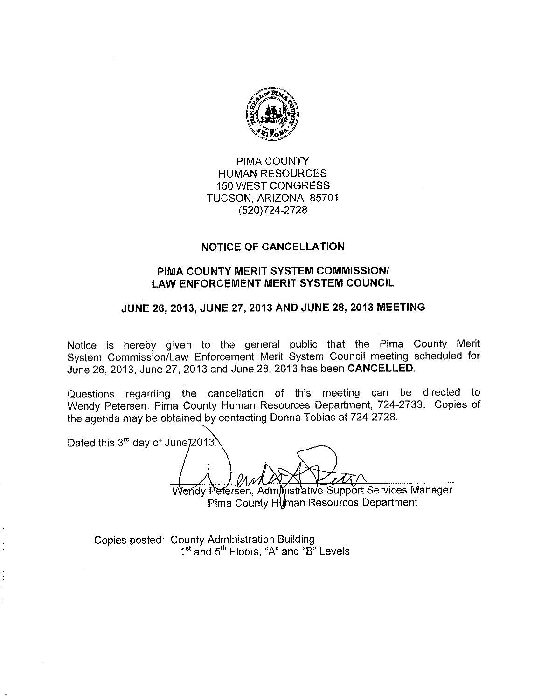

PIMA COUNTY **HUMAN RESOURCES 150 WEST CONGRESS** TUCSON, ARIZONA 85701 (520) 724-2728

## **NOTICE OF CANCELLATION**

## PIMA COUNTY MERIT SYSTEM COMMISSION/ **LAW ENFORCEMENT MERIT SYSTEM COUNCIL**

## JUNE 26, 2013, JUNE 27, 2013 AND JUNE 28, 2013 MEETING

Notice is hereby given to the general public that the Pima County Merit System Commission/Law Enforcement Merit System Council meeting scheduled for June 26, 2013, June 27, 2013 and June 28, 2013 has been CANCELLED.

Questions regarding the cancellation of this meeting can be directed to Wendy Petersen, Pima County Human Resources Department, 724-2733. Copies of the agenda may be obtained by contacting Donna Tobias at 724-2728.

Dated this 3<sup>rd</sup> day of June 2013.

Wendy Petersen, Administrative Support Services Manager Pima County Human Resources Department

Copies posted: County Administration Building 1<sup>st</sup> and 5<sup>th</sup> Floors, "A" and "B" Levels